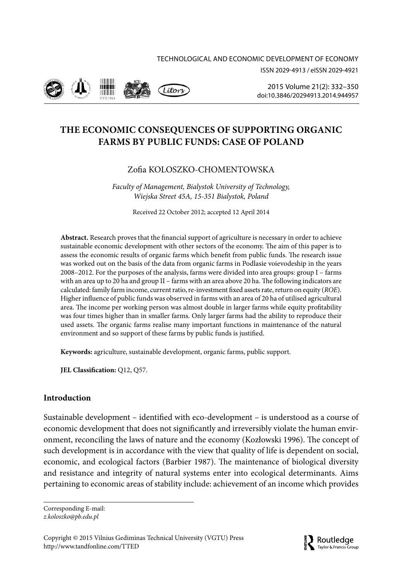



2015 Volume 21(2): 332–350 [doi:10.3846/20294913.2014.944957](http://dx.doi.org/10.3846/20294913.2014.944957)

# **THE ECONOMIC CONSEQUENCES OF SUPPORTING ORGANIC FARMS BY PUBLIC FUNDS: CASE OF POLAND**

## Zofia KOLOSZKO-CHOMENTOWSKA

*Faculty of Management, Bialystok University of Technology, Wiejska Street 45A, 15-351 Bialystok, Poland*

Received 22 October 2012; accepted 12 April 2014

**Abstract.** Research proves that the financial support of agriculture is necessary in order to achieve sustainable economic development with other sectors of the economy. The aim of this paper is to assess the economic results of organic farms which benefit from public funds. The research issue was worked out on the basis of the data from organic farms in Podlasie voievodeship in the years 2008–2012. For the purposes of the analysis, farms were divided into area groups: group I – farms with an area up to 20 ha and group II – farms with an area above 20 ha. The following indicators are calculated: family farm income, current ratio, re-investment fixed assets rate, return on equity (*ROE*). Higher influence of public funds was observed in farms with an area of 20 ha of utilised agricultural area. The income per working person was almost double in larger farms while equity profitability was four times higher than in smaller farms. Only larger farms had the ability to reproduce their used assets. The organic farms realise many important functions in maintenance of the natural environment and so support of these farms by public funds is justified.

**Keywords:** agriculture, sustainable development, organic farms, public support.

**JEL Classification:** Q12, Q57.

## **Introduction**

Sustainable development – identified with eco-development – is understood as a course of economic development that does not significantly and irreversibly violate the human environment, reconciling the laws of nature and the economy (Kozłowski 1996). The concept of such development is in accordance with the view that quality of life is dependent on social, economic, and ecological factors (Barbier 1987). The maintenance of biological diversity and resistance and integrity of natural systems enter into ecological determinants. Aims pertaining to economic areas of stability include: achievement of an income which provides

Corresponding E-mail:

*[z.koloszko@pb.edu.pl](mailto:z.koloszko@pb.edu.pl)*

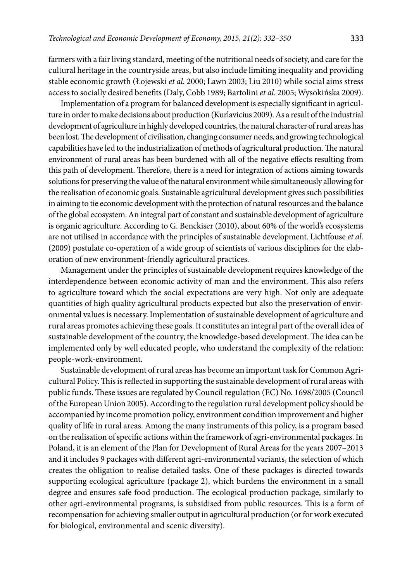farmers with a fair living standard, meeting of the nutritional needs of society, and care for the cultural heritage in the countryside areas, but also include limiting inequality and providing stable economic growth (Łojewski *et al*. 2000; Lawn 2003; Liu 2010) while social aims stress access to socially desired benefits (Daly, Cobb 1989; Bartolini *et al.* 2005; Wysokińska 2009).

Implementation of a program for balanced development is especially significant in agriculture in order to make decisions about production (Kurlavicius 2009). As a result of the industrial development of agriculture in highly developed countries, the natural character of rural areas has been lost. The development of civilisation, changing consumer needs, and growing technological capabilities have led to the industrialization of methods of agricultural production. The natural environment of rural areas has been burdened with all of the negative effects resulting from this path of development. Therefore, there is a need for integration of actions aiming towards solutions for preserving the value of the natural environment while simultaneously allowing for the realisation of economic goals. Sustainable agricultural development gives such possibilities in aiming to tie economic development with the protection of natural resources and the balance of the global ecosystem. An integral part of constant and sustainable development of agriculture is organic agriculture. According to G. Benckiser (2010), about 60% of the world's ecosystems are not utilised in accordance with the principles of sustainable development. Lichtfouse *et al*. (2009) postulate co-operation of a wide group of scientists of various disciplines for the elaboration of new environment-friendly agricultural practices.

Management under the principles of sustainable development requires knowledge of the interdependence between economic activity of man and the environment. This also refers to agriculture toward which the social expectations are very high. Not only are adequate quantities of high quality agricultural products expected but also the preservation of environmental values is necessary. Implementation of sustainable development of agriculture and rural areas promotes achieving these goals. It constitutes an integral part of the overall idea of sustainable development of the country, the knowledge-based development. The idea can be implemented only by well educated people, who understand the complexity of the relation: people-work-environment.

Sustainable development of rural areas has become an important task for Common Agricultural Policy. This is reflected in supporting the sustainable development of rural areas with public funds. These issues are regulated by Council regulation (EC) No. 1698/2005 (Council of the European Union 2005). According to the regulation rural development policy should be accompanied by income promotion policy, environment condition improvement and higher quality of life in rural areas. Among the many instruments of this policy, is a program based on the realisation of specific actions within the framework of agri-environmental packages. In Poland, it is an element of the Plan for Development of Rural Areas for the years 2007–2013 and it includes 9 packages with different agri-environmental variants, the selection of which creates the obligation to realise detailed tasks. One of these packages is directed towards supporting ecological agriculture (package 2), which burdens the environment in a small degree and ensures safe food production. The ecological production package, similarly to other agri-environmental programs, is subsidised from public resources. This is a form of recompensation for achieving smaller output in agricultural production (or for work executed for biological, environmental and scenic diversity).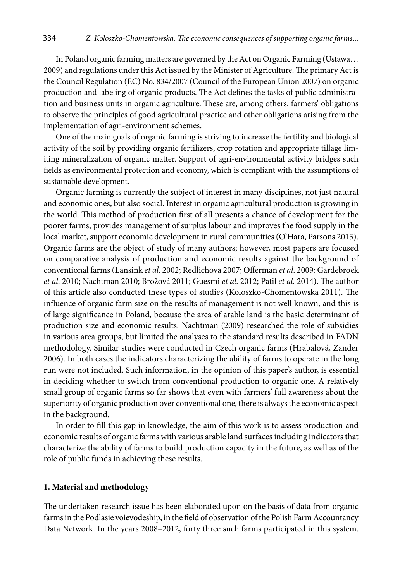In Poland organic farming matters are governed by the Act on Organic Farming (Ustawa… 2009) and regulations under this Act issued by the Minister of Agriculture. The primary Act is the Council Regulation (EC) No. 834/2007 (Council of the European Union 2007) on organic production and labeling of organic products. The Act defines the tasks of public administration and business units in organic agriculture. These are, among others, farmers' obligations to observe the principles of good agricultural practice and other obligations arising from the implementation of agri-environment schemes.

One of the main goals of organic farming is striving to increase the fertility and biological activity of the soil by providing organic fertilizers, crop rotation and appropriate tillage limiting mineralization of organic matter. Support of agri-environmental activity bridges such fields as environmental protection and economy, which is compliant with the assumptions of sustainable development.

Organic farming is currently the subject of interest in many disciplines, not just natural and economic ones, but also social. Interest in organic agricultural production is growing in the world. This method of production first of all presents a chance of development for the poorer farms, provides management of surplus labour and improves the food supply in the local market, support economic development in rural communities (O'Hara, Parsons 2013). Organic farms are the object of study of many authors; however, most papers are focused on comparative analysis of production and economic results against the background of conventional farms (Lansink *et al*. 2002; Redlichova 2007; Offerman *et al*. 2009; Gardebroek *et al*. 2010; Nachtman 2010; Brožová 2011; Guesmi *et al*. 2012; Patil *et al.* 2014). The author of this article also conducted these types of studies (Koloszko-Chomentowska 2011). The influence of organic farm size on the results of management is not well known, and this is of large significance in Poland, because the area of arable land is the basic determinant of production size and economic results. Nachtman (2009) researched the role of subsidies in various area groups, but limited the analyses to the standard results described in FADN methodology. Similar studies were conducted in Czech organic farms (Hrabalová, Zander 2006). In both cases the indicators characterizing the ability of farms to operate in the long run were not included. Such information, in the opinion of this paper's author, is essential in deciding whether to switch from conventional production to organic one. A relatively small group of organic farms so far shows that even with farmers' full awareness about the superiority of organic production over conventional one, there is always the economic aspect in the background.

In order to fill this gap in knowledge, the aim of this work is to assess production and economic results of organic farms with various arable land surfaces including indicators that characterize the ability of farms to build production capacity in the future, as well as of the role of public funds in achieving these results.

## **1. Material and methodology**

The undertaken research issue has been elaborated upon on the basis of data from organic farms in the Podlasie voievodeship, in the field of observation of the Polish Farm Accountancy Data Network. In the years 2008–2012, forty three such farms participated in this system.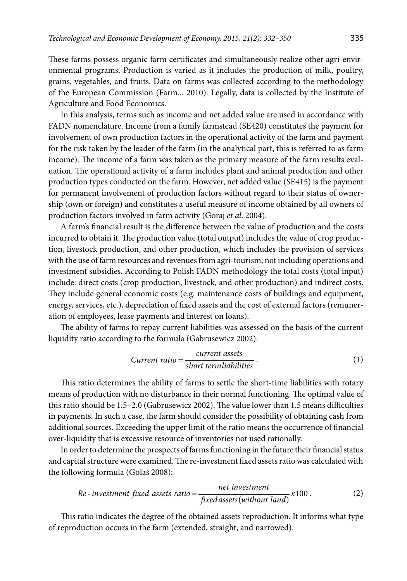These farms possess organic farm certificates and simultaneously realize other agri-environmental programs. Production is varied as it includes the production of milk, poultry, grains, vegetables, and fruits. Data on farms was collected according to the methodology of the European Commission (Farm... 2010). Legally, data is collected by the Institute of Agriculture and Food Economics.

In this analysis, terms such as income and net added value are used in accordance with FADN nomenclature. Income from a family farmstead (SE420) constitutes the payment for involvement of own production factors in the operational activity of the farm and payment for the risk taken by the leader of the farm (in the analytical part, this is referred to as farm income). The income of a farm was taken as the primary measure of the farm results evaluation. The operational activity of a farm includes plant and animal production and other production types conducted on the farm. However, net added value (SE415) is the payment for permanent involvement of production factors without regard to their status of ownership (own or foreign) and constitutes a useful measure of income obtained by all owners of production factors involved in farm activity (Goraj *et al*. 2004).

A farm's financial result is the difference between the value of production and the costs incurred to obtain it. The production value (total output) includes the value of crop production, livestock production, and other production, which includes the provision of services with the use of farm resources and revenues from agri-tourism, not including operations and investment subsidies. According to Polish FADN methodology the total costs (total input) include: direct costs (crop production, livestock, and other production) and indirect costs. They include general economic costs (e.g. maintenance costs of buildings and equipment, energy, services, etc.), depreciation of fixed assets and the cost of external factors (remuneration of employees, lease payments and interest on loans).

The ability of farms to repay current liabilities was assessed on the basis of the current liquidity ratio according to the formula (Gabrusewicz 2002):

$$
Current ratio = \frac{current \; assets}{short \; terminalabilities} \; . \tag{1}
$$

This ratio determines the ability of farms to settle the short-time liabilities with rotary means of production with no disturbance in their normal functioning. The optimal value of this ratio should be 1.5–2.0 (Gabrusewicz 2002). The value lower than 1.5 means difficulties in payments. In such a case, the farm should consider the possibility of obtaining cash from additional sources. Exceeding the upper limit of the ratio means the occurrence of financial over-liquidity that is excessive resource of inventories not used rationally.

In order to determine the prospects of farms functioning in the future their financial status and capital structure were examined. The re-investment fixed assets ratio was calculated with the following formula (Gołaś 2008):

Re-investment fixed assets ratio = 
$$
\frac{net\ investment}{fixed\ assets(without\ land)}x100.
$$
 (2)

This ratio indicates the degree of the obtained assets reproduction. It informs what type of reproduction occurs in the farm (extended, straight, and narrowed).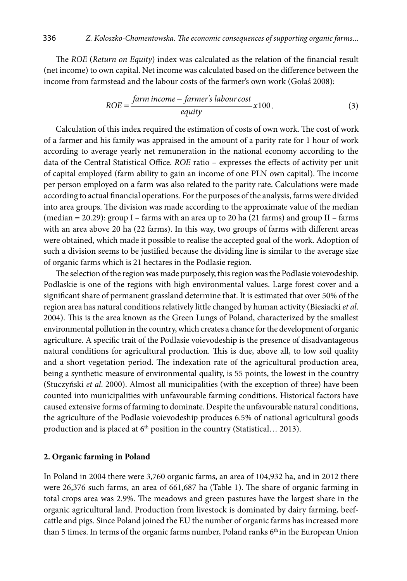The *ROE* (*Return on Equity*) index was calculated as the relation of the financial result (net income) to own capital. Net income was calculated based on the difference between the income from farmstead and the labour costs of the farmer's own work (Gołaś 2008):

$$
ROE = \frac{farm\ income - farmer's\ labour\ cost}{equity} x100.
$$
 (3)

Calculation of this index required the estimation of costs of own work. The cost of work of a farmer and his family was appraised in the amount of a parity rate for 1 hour of work according to average yearly net remuneration in the national economy according to the data of the Central Statistical Office. *ROE* ratio – expresses the effects of activity per unit of capital employed (farm ability to gain an income of one PLN own capital). The income per person employed on a farm was also related to the parity rate. Calculations were made according to actual financial operations. For the purposes of the analysis, farms were divided into area groups. The division was made according to the approximate value of the median (median = 20.29): group I – farms with an area up to 20 ha (21 farms) and group II – farms with an area above 20 ha (22 farms). In this way, two groups of farms with different areas were obtained, which made it possible to realise the accepted goal of the work. Adoption of such a division seems to be justified because the dividing line is similar to the average size of organic farms which is 21 hectares in the Podlasie region.

The selection of the region was made purposely, this region was the Podlasie voievodeship. Podlaskie is one of the regions with high environmental values. Large forest cover and a significant share of permanent grassland determine that. It is estimated that over 50% of the region area has natural conditions relatively little changed by human activity (Biesiacki *et al*. 2004). This is the area known as the Green Lungs of Poland, characterized by the smallest environmental pollution in the country, which creates a chance for the development of organic agriculture. A specific trait of the Podlasie voievodeship is the presence of disadvantageous natural conditions for agricultural production. This is due, above all, to low soil quality and a short vegetation period. The indexation rate of the agricultural production area, being a synthetic measure of environmental quality, is 55 points, the lowest in the country (Stuczyński *et al*. 2000). Almost all municipalities (with the exception of three) have been counted into municipalities with unfavourable farming conditions. Historical factors have caused extensive forms of farming to dominate. Despite the unfavourable natural conditions, the agriculture of the Podlasie voievodeship produces 6.5% of national agricultural goods production and is placed at  $6<sup>th</sup>$  position in the country (Statistical... 2013).

### **2. Organic farming in Poland**

In Poland in 2004 there were 3,760 organic farms, an area of 104,932 ha, and in 2012 there were 26,376 such farms, an area of 661,687 ha (Table 1). The share of organic farming in total crops area was 2.9%. The meadows and green pastures have the largest share in the organic agricultural land. Production from livestock is dominated by dairy farming, beefcattle and pigs. Since Poland joined the EU the number of organic farms has increased more than 5 times. In terms of the organic farms number, Poland ranks 6<sup>th</sup> in the European Union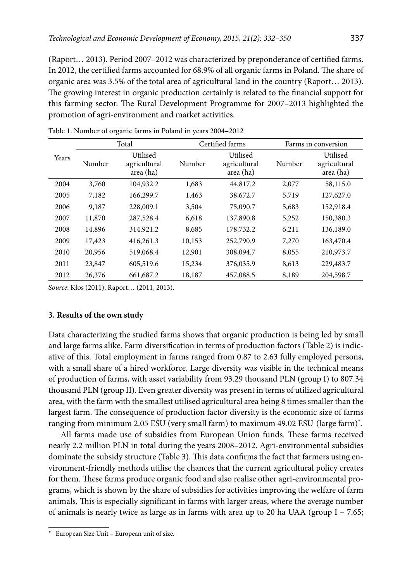(Raport… 2013). Period 2007–2012 was characterized by preponderance of certified farms. In 2012, the certified farms accounted for 68.9% of all organic farms in Poland. The share of organic area was 3.5% of the total area of agricultural land in the country (Raport… 2013). The growing interest in organic production certainly is related to the financial support for this farming sector. The Rural Development Programme for 2007–2013 highlighted the promotion of agri-environment and market activities.

| Years | Total  |                                       | Certified farms |                                       | Farms in conversion |                                       |
|-------|--------|---------------------------------------|-----------------|---------------------------------------|---------------------|---------------------------------------|
|       | Number | Utilised<br>agricultural<br>area (ha) | Number          | Utilised<br>agricultural<br>area (ha) | Number              | Utilised<br>agricultural<br>area (ha) |
| 2004  | 3,760  | 104,932.2                             | 1,683           | 44,817.2                              | 2,077               | 58,115.0                              |
| 2005  | 7,182  | 166,299.7                             | 1,463           | 38,672.7                              | 5,719               | 127,627.0                             |
| 2006  | 9,187  | 228,009.1                             | 3,504           | 75,090.7                              | 5,683               | 152,918.4                             |
| 2007  | 11,870 | 287,528.4                             | 6.618           | 137,890.8                             | 5,252               | 150,380.3                             |
| 2008  | 14,896 | 314,921.2                             | 8,685           | 178,732.2                             | 6,211               | 136,189.0                             |
| 2009  | 17,423 | 416,261.3                             | 10,153          | 252,790.9                             | 7,270               | 163,470.4                             |
| 2010  | 20,956 | 519,068.4                             | 12,901          | 308,094.7                             | 8,055               | 210,973.7                             |
| 2011  | 23,847 | 605,519.6                             | 15,234          | 376,035.9                             | 8,613               | 229,483.7                             |
| 2012  | 26,376 | 661,687.2                             | 18,187          | 457,088.5                             | 8,189               | 204,598.7                             |

Table 1. Number of organic farms in Poland in years 2004–2012

*Source*: Kłos (2011), Raport… (2011, 2013).

#### **3. Results of the own study**

Data characterizing the studied farms shows that organic production is being led by small and large farms alike. Farm diversification in terms of production factors (Table 2) is indicative of this. Total employment in farms ranged from 0.87 to 2.63 fully employed persons, with a small share of a hired workforce. Large diversity was visible in the technical means of production of farms, with asset variability from 93.29 thousand PLN (group I) to 807.34 thousand PLN (group II). Even greater diversity was present in terms of utilized agricultural area, with the farm with the smallest utilised agricultural area being 8 times smaller than the largest farm. The consequence of production factor diversity is the economic size of farms ranging from minimum 2.05 ESU (very small farm) to maximum 49.02 ESU (large farm)\*.

All farms made use of subsidies from European Union funds. These farms received nearly 2.2 million PLN in total during the years 2008–2012. Agri-environmental subsidies dominate the subsidy structure (Table 3). This data confirms the fact that farmers using environment-friendly methods utilise the chances that the current agricultural policy creates for them. These farms produce organic food and also realise other agri-environmental programs, which is shown by the share of subsidies for activities improving the welfare of farm animals. This is especially significant in farms with larger areas, where the average number of animals is nearly twice as large as in farms with area up to 20 ha UAA (group  $I - 7.65$ ;

<sup>\*</sup> European Size Unit – European unit of size.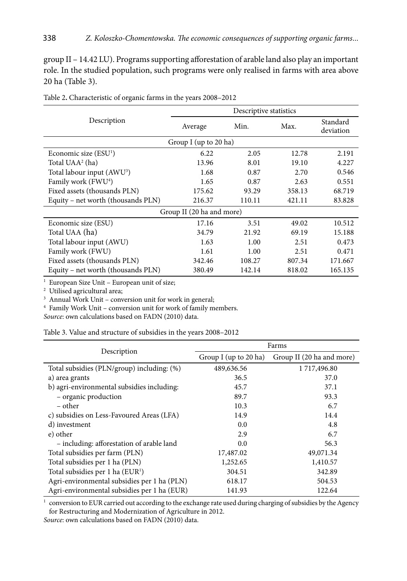group II – 14.42 LU). Programs supporting afforestation of arable land also play an important role. In the studied population, such programs were only realised in farms with area above 20 ha (Table 3).

|                                        | Descriptive statistics |        |        |                       |  |  |
|----------------------------------------|------------------------|--------|--------|-----------------------|--|--|
| Description                            | Average                | Min.   | Max.   | Standard<br>deviation |  |  |
|                                        | Group I (up to 20 ha)  |        |        |                       |  |  |
| Economic size $(ESU1)$                 | 6.22                   | 2.05   | 12.78  | 2.191                 |  |  |
| Total UAA <sup>2</sup> (ha)            | 13.96                  | 8.01   | 19.10  | 4.227                 |  |  |
| Total labour input (AWU <sup>3</sup> ) | 1.68                   | 0.87   | 2.70   | 0.546                 |  |  |
| Family work (FWU <sup>4</sup> )        | 1.65                   | 0.87   | 2.63   | 0.551                 |  |  |
| Fixed assets (thousands PLN)           | 175.62                 | 93.29  | 358.13 | 68.719                |  |  |
| Equity – net worth (thousands PLN)     | 216.37                 | 110.11 | 421.11 | 83.828                |  |  |
| Group II (20 ha and more)              |                        |        |        |                       |  |  |
| Economic size (ESU)                    | 17.16                  | 3.51   | 49.02  | 10.512                |  |  |
| Total UAA (ha)                         | 34.79                  | 21.92  | 69.19  | 15.188                |  |  |
| Total labour input (AWU)               | 1.63                   | 1.00   | 2.51   | 0.473                 |  |  |
| Family work (FWU)                      | 1.61                   | 1.00   | 2.51   | 0.471                 |  |  |
| Fixed assets (thousands PLN)           | 342.46                 | 108.27 | 807.34 | 171.667               |  |  |
| Equity – net worth (thousands PLN)     | 380.49                 | 142.14 | 818.02 | 165.135               |  |  |

Table 2**.** Characteristic of organic farms in the years 2008–2012

<sup>1</sup> European Size Unit - European unit of size;

2 Utilised agricultural area;

3 Annual Work Unit – conversion unit for work in general;

4 Family Work Unit – conversion unit for work of family members.

*Source*: own calculations based on FADN (2010) data.

Table 3. Value and structure of subsidies in the years 2008–2012

|                                             | Farms                 |                           |  |  |
|---------------------------------------------|-----------------------|---------------------------|--|--|
| Description                                 | Group I (up to 20 ha) | Group II (20 ha and more) |  |  |
| Total subsidies (PLN/group) including: (%)  | 489,636.56            | 1717,496.80               |  |  |
| a) area grants                              | 36.5                  | 37.0                      |  |  |
| b) agri-environmental subsidies including:  | 45.7                  | 37.1                      |  |  |
| - organic production                        | 89.7                  | 93.3                      |  |  |
| – other                                     | 10.3                  | 6.7                       |  |  |
| c) subsidies on Less-Favoured Areas (LFA)   | 14.9                  | 14.4                      |  |  |
| d) investment                               | 0.0                   | 4.8                       |  |  |
| e) other                                    | 2.9                   | 6.7                       |  |  |
| - including: afforestation of arable land   | 0.0                   | 56.3                      |  |  |
| Total subsidies per farm (PLN)              | 17,487.02             | 49,071.34                 |  |  |
| Total subsidies per 1 ha (PLN)              | 1,252.65              | 1,410.57                  |  |  |
| Total subsidies per 1 ha $(EUR1)$           | 304.51                | 342.89                    |  |  |
| Agri-environmental subsidies per 1 ha (PLN) | 618.17                | 504.53                    |  |  |
| Agri-environmental subsidies per 1 ha (EUR) | 141.93                | 122.64                    |  |  |

1 conversion to EUR carried out according to the exchange rate used during charging of subsidies by the Agency for Restructuring and Modernization of Agriculture in 2012.

*Source*: own calculations based on FADN (2010) data.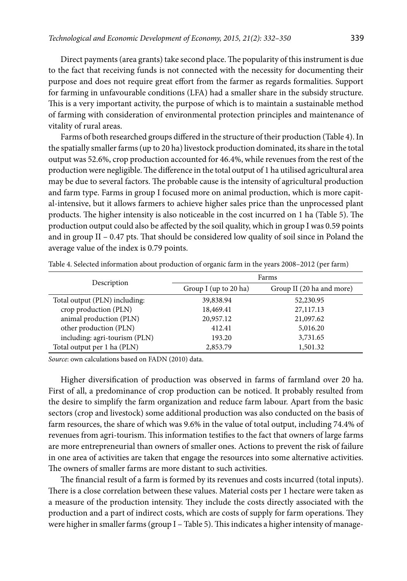Direct payments (area grants) take second place. The popularity of this instrument is due to the fact that receiving funds is not connected with the necessity for documenting their purpose and does not require great effort from the farmer as regards formalities. Support for farming in unfavourable conditions (LFA) had a smaller share in the subsidy structure. This is a very important activity, the purpose of which is to maintain a sustainable method of farming with consideration of environmental protection principles and maintenance of vitality of rural areas.

Farms of both researched groups differed in the structure of their production (Table 4). In the spatially smaller farms (up to 20 ha) livestock production dominated, its share in the total output was 52.6%, crop production accounted for 46.4%, while revenues from the rest of the production were negligible. The difference in the total output of 1 ha utilised agricultural area may be due to several factors. The probable cause is the intensity of agricultural production and farm type. Farms in group I focused more on animal production, which is more capital-intensive, but it allows farmers to achieve higher sales price than the unprocessed plant products. The higher intensity is also noticeable in the cost incurred on 1 ha (Table 5). The production output could also be affected by the soil quality, which in group I was 0.59 points and in group II – 0.47 pts. That should be considered low quality of soil since in Poland the average value of the index is 0.79 points.

| Description                   | Farms                 |                           |  |  |
|-------------------------------|-----------------------|---------------------------|--|--|
|                               | Group I (up to 20 ha) | Group II (20 ha and more) |  |  |
| Total output (PLN) including: | 39,838.94             | 52,230.95                 |  |  |
| crop production (PLN)         | 18,469.41             | 27,117.13                 |  |  |
| animal production (PLN)       | 20,957.12             | 21,097.62                 |  |  |
| other production (PLN)        | 412.41                | 5,016.20                  |  |  |
| including: agri-tourism (PLN) | 193.20                | 3,731.65                  |  |  |
| Total output per 1 ha (PLN)   | 2,853.79              | 1,501.32                  |  |  |

Table 4. Selected information about production of organic farm in the years 2008–2012 (per farm)

*Source*: own calculations based on FADN (2010) data.

Higher diversification of production was observed in farms of farmland over 20 ha. First of all, a predominance of crop production can be noticed. It probably resulted from the desire to simplify the farm organization and reduce farm labour. Apart from the basic sectors (crop and livestock) some additional production was also conducted on the basis of farm resources, the share of which was 9.6% in the value of total output, including 74.4% of revenues from agri-tourism. This information testifies to the fact that owners of large farms are more entrepreneurial than owners of smaller ones. Actions to prevent the risk of failure in one area of activities are taken that engage the resources into some alternative activities. The owners of smaller farms are more distant to such activities.

The financial result of a farm is formed by its revenues and costs incurred (total inputs). There is a close correlation between these values. Material costs per 1 hectare were taken as a measure of the production intensity. They include the costs directly associated with the production and a part of indirect costs, which are costs of supply for farm operations. They were higher in smaller farms (group I – Table 5). This indicates a higher intensity of manage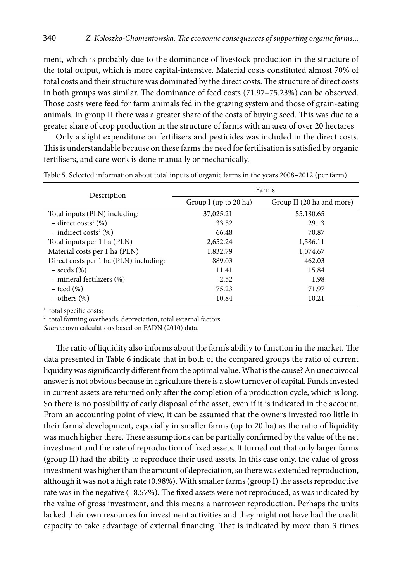ment, which is probably due to the dominance of livestock production in the structure of the total output, which is more capital-intensive. Material costs constituted almost 70% of total costs and their structure was dominated by the direct costs. The structure of direct costs in both groups was similar. The dominance of feed costs (71.97–75.23%) can be observed. Those costs were feed for farm animals fed in the grazing system and those of grain-eating animals. In group II there was a greater share of the costs of buying seed. This was due to a greater share of crop production in the structure of farms with an area of over 20 hectares

Only a slight expenditure on fertilisers and pesticides was included in the direct costs. This is understandable because on these farms the need for fertilisation is satisfied by organic fertilisers, and care work is done manually or mechanically.

| Description                            | Farms                 |                           |  |  |
|----------------------------------------|-----------------------|---------------------------|--|--|
|                                        | Group I (up to 20 ha) | Group II (20 ha and more) |  |  |
| Total inputs (PLN) including:          | 37,025.21             | 55,180.65                 |  |  |
| $-$ direct costs <sup>1</sup> (%)      | 33.52                 | 29.13                     |  |  |
| $-$ indirect costs <sup>2</sup> (%)    | 66.48                 | 70.87                     |  |  |
| Total inputs per 1 ha (PLN)            | 2,652.24              | 1,586.11                  |  |  |
| Material costs per 1 ha (PLN)          | 1,832.79              | 1,074.67                  |  |  |
| Direct costs per 1 ha (PLN) including: | 889.03                | 462.03                    |  |  |
| $-$ seeds $(\% )$                      | 11.41                 | 15.84                     |  |  |
| - mineral fertilizers (%)              | 2.52                  | 1.98                      |  |  |
| $-$ feed $(\% )$                       | 75.23                 | 71.97                     |  |  |
| $-$ others $(\%)$                      | 10.84                 | 10.21                     |  |  |

Table 5. Selected information about total inputs of organic farms in the years 2008–2012 (per farm)

<sup>1</sup> total specific costs;

2 total farming overheads, depreciation, total external factors.

*Source*: own calculations based on FADN (2010) data.

The ratio of liquidity also informs about the farm's ability to function in the market. The data presented in Table 6 indicate that in both of the compared groups the ratio of current liquidity was significantly different from the optimal value. What is the cause? An unequivocal answer is not obvious because in agriculture there is a slow turnover of capital. Funds invested in current assets are returned only after the completion of a production cycle, which is long. So there is no possibility of early disposal of the asset, even if it is indicated in the account. From an accounting point of view, it can be assumed that the owners invested too little in their farms' development, especially in smaller farms (up to 20 ha) as the ratio of liquidity was much higher there. These assumptions can be partially confirmed by the value of the net investment and the rate of reproduction of fixed assets. It turned out that only larger farms (group II) had the ability to reproduce their used assets. In this case only, the value of gross investment was higher than the amount of depreciation, so there was extended reproduction, although it was not a high rate (0.98%). With smaller farms (group I) the assets reproductive rate was in the negative (–8.57%). The fixed assets were not reproduced, as was indicated by the value of gross investment, and this means a narrower reproduction. Perhaps the units lacked their own resources for investment activities and they might not have had the credit capacity to take advantage of external financing. That is indicated by more than 3 times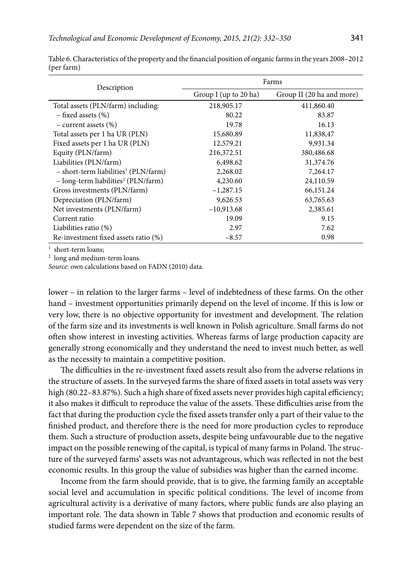| Description                                        | Farms                 |                           |  |  |
|----------------------------------------------------|-----------------------|---------------------------|--|--|
|                                                    | Group I (up to 20 ha) | Group II (20 ha and more) |  |  |
| Total assets (PLN/farm) including:                 | 218,905.17            | 411,860.40                |  |  |
| $-$ fixed assets $(\%)$                            | 80.22                 | 83.87                     |  |  |
| $-$ current assets $(\%)$                          | 19.78                 | 16.13                     |  |  |
| Total assets per 1 ha UR (PLN)                     | 15,680.89             | 11,838,47                 |  |  |
| Fixed assets per 1 ha UR (PLN)                     | 12,579.21             | 9,931.34                  |  |  |
| Equity (PLN/farm)                                  | 216,372.51            | 380,486.68                |  |  |
| Liabilities (PLN/farm)                             | 6,498.62              | 31,374.76                 |  |  |
| $-$ short-term liabilities <sup>1</sup> (PLN/farm) | 2,268.02              | 7,264.17                  |  |  |
| $-$ long-term liabilities <sup>2</sup> (PLN/farm)  | 4,230.60              | 24,110.59                 |  |  |
| Gross investments (PLN/farm)                       | $-1,287.15$           | 66,151.24                 |  |  |
| Depreciation (PLN/farm)                            | 9,626.53              | 63,765.63                 |  |  |
| Net investments (PLN/farm)                         | $-10,913.68$          | 2,385.61                  |  |  |
| Current ratio                                      | 19.09                 | 9.15                      |  |  |
| Liabilities ratio (%)                              | 2.97                  | 7.62                      |  |  |
| Re-investment fixed assets ratio (%)               | $-8.57$               | 0.98                      |  |  |

Table 6. Characteristics of the property and the financial position of organic farms in the years 2008–2012 (per farm)

<sup>1</sup> short-term loans;

2 long and medium-term loans.

*Source*: own calculations based on FADN (2010) data.

lower – in relation to the larger farms – level of indebtedness of these farms. On the other hand – investment opportunities primarily depend on the level of income. If this is low or very low, there is no objective opportunity for investment and development. The relation of the farm size and its investments is well known in Polish agriculture. Small farms do not often show interest in investing activities. Whereas farms of large production capacity are generally strong economically and they understand the need to invest much better, as well as the necessity to maintain a competitive position.

The difficulties in the re-investment fixed assets result also from the adverse relations in the structure of assets. In the surveyed farms the share of fixed assets in total assets was very high (80.22–83.87%). Such a high share of fixed assets never provides high capital efficiency; it also makes it difficult to reproduce the value of the assets. These difficulties arise from the fact that during the production cycle the fixed assets transfer only a part of their value to the finished product, and therefore there is the need for more production cycles to reproduce them. Such a structure of production assets, despite being unfavourable due to the negative impact on the possible renewing of the capital, is typical of many farms in Poland. The structure of the surveyed farms' assets was not advantageous, which was reflected in not the best economic results. In this group the value of subsidies was higher than the earned income.

Income from the farm should provide, that is to give, the farming family an acceptable social level and accumulation in specific political conditions. The level of income from agricultural activity is a derivative of many factors, where public funds are also playing an important role. The data shown in Table 7 shows that production and economic results of studied farms were dependent on the size of the farm.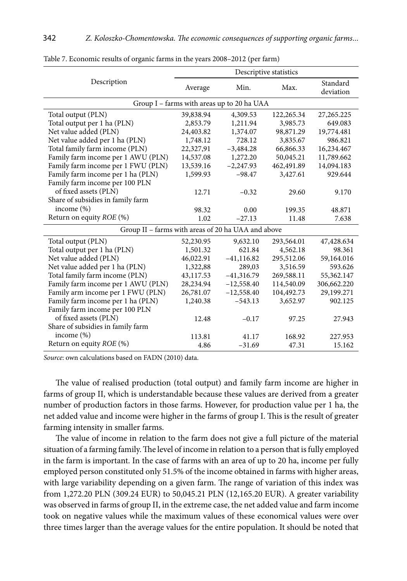|                                                    | Descriptive statistics |              |            |                       |  |  |
|----------------------------------------------------|------------------------|--------------|------------|-----------------------|--|--|
| Description                                        | Average                | Min.         | Max.       | Standard<br>deviation |  |  |
| Group I - farms with areas up to 20 ha UAA         |                        |              |            |                       |  |  |
| Total output (PLN)                                 | 39,838.94              | 4,309.53     | 122,265.34 | 27, 265. 225          |  |  |
| Total output per 1 ha (PLN)                        | 2,853.79               | 1,211.94     | 3,985.73   | 649.083               |  |  |
| Net value added (PLN)                              | 24,403.82              | 1,374.07     | 98,871.29  | 19,774.481            |  |  |
| Net value added per 1 ha (PLN)                     | 1,748.12               | 728.12       | 3,835.67   | 986.821               |  |  |
| Total family farm income (PLN)                     | 22,327,91              | $-3,484.28$  | 66,866.33  | 16,234.467            |  |  |
| Family farm income per 1 AWU (PLN)                 | 14,537.08              | 1,272.20     | 50,045.21  | 11,789.662            |  |  |
| Family farm income per 1 FWU (PLN)                 | 13,539.16              | $-2,247.93$  | 462,491.89 | 14,094.183            |  |  |
| Family farm income per 1 ha (PLN)                  | 1,599.93               | $-98.47$     | 3,427.61   | 929.644               |  |  |
| Family farm income per 100 PLN                     |                        |              |            |                       |  |  |
| of fixed assets (PLN)                              | 12.71                  | $-0.32$      | 29.60      | 9.170                 |  |  |
| Share of subsidies in family farm                  |                        |              |            |                       |  |  |
| income $(\%)$                                      | 98.32                  | 0.00         | 199.35     | 48.871                |  |  |
| Return on equity <i>ROE</i> (%)                    | 1.02                   | $-27.13$     | 11.48      | 7.638                 |  |  |
| Group II - farms with areas of 20 ha UAA and above |                        |              |            |                       |  |  |
| Total output (PLN)                                 | 52,230.95              | 9,632.10     | 293,564.01 | 47,428.634            |  |  |
| Total output per 1 ha (PLN)                        | 1,501.32               | 621.84       | 4,562.18   | 98.361                |  |  |
| Net value added (PLN)                              | 46,022.91              | $-41,116.82$ | 295,512.06 | 59,164.016            |  |  |
| Net value added per 1 ha (PLN)                     | 1,322,88               | 289,03       | 3,516.59   | 593.626               |  |  |
| Total family farm income (PLN)                     | 43,117.53              | $-41,316.79$ | 269,588.11 | 55,362.147            |  |  |
| Family farm income per 1 AWU (PLN)                 | 28,234.94              | $-12,558.40$ | 114,540.09 | 306,662.220           |  |  |
| Family arm income per 1 FWU (PLN)                  | 26,781.07              | $-12,558.40$ | 104,492.73 | 29,199.271            |  |  |
| Family farm income per 1 ha (PLN)                  | 1,240.38               | $-543.13$    | 3,652.97   | 902.125               |  |  |
| Family farm income per 100 PLN                     |                        |              |            |                       |  |  |
| of fixed assets (PLN)                              | 12.48                  | $-0.17$      | 97.25      | 27.943                |  |  |
| Share of subsidies in family farm                  |                        |              |            |                       |  |  |
| income $(\%)$                                      | 113.81                 | 41.17        | 168.92     | 227.953               |  |  |
| Return on equity ROE (%)                           | 4.86                   | $-31.69$     | 47.31      | 15.162                |  |  |

Table 7. Economic results of organic farms in the years 2008–2012 (per farm)

*Source*: own calculations based on FADN (2010) data.

The value of realised production (total output) and family farm income are higher in farms of group II, which is understandable because these values are derived from a greater number of production factors in those farms. However, for production value per 1 ha, the net added value and income were higher in the farms of group I. This is the result of greater farming intensity in smaller farms.

The value of income in relation to the farm does not give a full picture of the material situation of a farming family. The level of income in relation to a person that is fully employed in the farm is important. In the case of farms with an area of up to 20 ha, income per fully employed person constituted only 51.5% of the income obtained in farms with higher areas, with large variability depending on a given farm. The range of variation of this index was from 1,272.20 PLN (309.24 EUR) to 50,045.21 PLN (12,165.20 EUR). A greater variability was observed in farms of group II, in the extreme case, the net added value and farm income took on negative values while the maximum values of these economical values were over three times larger than the average values for the entire population. It should be noted that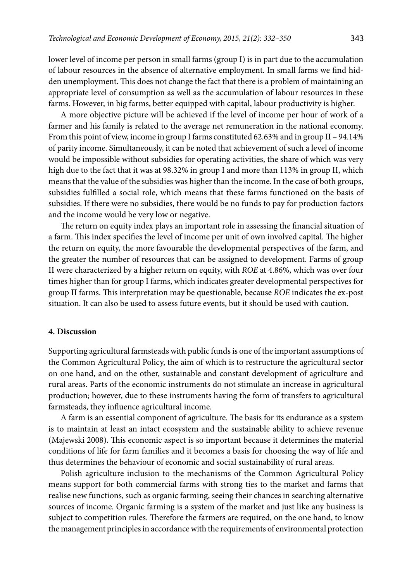lower level of income per person in small farms (group I) is in part due to the accumulation of labour resources in the absence of alternative employment. In small farms we find hidden unemployment. This does not change the fact that there is a problem of maintaining an appropriate level of consumption as well as the accumulation of labour resources in these farms. However, in big farms, better equipped with capital, labour productivity is higher.

A more objective picture will be achieved if the level of income per hour of work of a farmer and his family is related to the average net remuneration in the national economy. From this point of view, income in group I farms constituted 62.63% and in group II – 94.14% of parity income. Simultaneously, it can be noted that achievement of such a level of income would be impossible without subsidies for operating activities, the share of which was very high due to the fact that it was at 98.32% in group I and more than 113% in group II, which means that the value of the subsidies was higher than the income. In the case of both groups, subsidies fulfilled a social role, which means that these farms functioned on the basis of subsidies. If there were no subsidies, there would be no funds to pay for production factors and the income would be very low or negative.

The return on equity index plays an important role in assessing the financial situation of a farm. This index specifies the level of income per unit of own involved capital. The higher the return on equity, the more favourable the developmental perspectives of the farm, and the greater the number of resources that can be assigned to development. Farms of group II were characterized by a higher return on equity, with *ROE* at 4.86%, which was over four times higher than for group I farms, which indicates greater developmental perspectives for group II farms. This interpretation may be questionable, because *ROE* indicates the ex-post situation. It can also be used to assess future events, but it should be used with caution.

### **4. Discussion**

Supporting agricultural farmsteads with public funds is one of the important assumptions of the Common Agricultural Policy, the aim of which is to restructure the agricultural sector on one hand, and on the other, sustainable and constant development of agriculture and rural areas. Parts of the economic instruments do not stimulate an increase in agricultural production; however, due to these instruments having the form of transfers to agricultural farmsteads, they influence agricultural income.

A farm is an essential component of agriculture. The basis for its endurance as a system is to maintain at least an intact ecosystem and the sustainable ability to achieve revenue (Majewski 2008). This economic aspect is so important because it determines the material conditions of life for farm families and it becomes a basis for choosing the way of life and thus determines the behaviour of economic and social sustainability of rural areas.

Polish agriculture inclusion to the mechanisms of the Common Agricultural Policy means support for both commercial farms with strong ties to the market and farms that realise new functions, such as organic farming, seeing their chances in searching alternative sources of income. Organic farming is a system of the market and just like any business is subject to competition rules. Therefore the farmers are required, on the one hand, to know the management principles in accordance with the requirements of environmental protection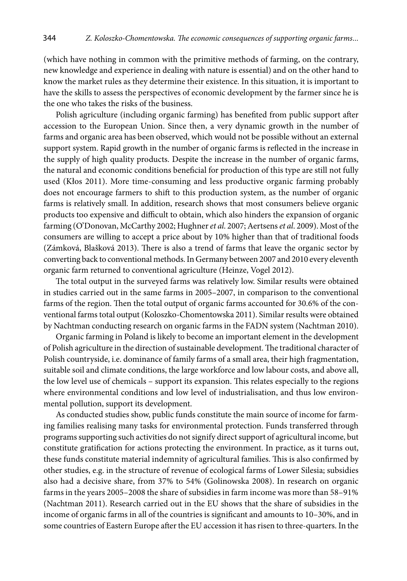(which have nothing in common with the primitive methods of farming, on the contrary, new knowledge and experience in dealing with nature is essential) and on the other hand to know the market rules as they determine their existence. In this situation, it is important to have the skills to assess the perspectives of economic development by the farmer since he is the one who takes the risks of the business.

Polish agriculture (including organic farming) has benefited from public support after accession to the European Union. Since then, a very dynamic growth in the number of farms and organic area has been observed, which would not be possible without an external support system. Rapid growth in the number of organic farms is reflected in the increase in the supply of high quality products. Despite the increase in the number of organic farms, the natural and economic conditions beneficial for production of this type are still not fully used (Kłos 2011). More time-consuming and less productive organic farming probably does not encourage farmers to shift to this production system, as the number of organic farms is relatively small. In addition, research shows that most consumers believe organic products too expensive and difficult to obtain, which also hinders the expansion of organic farming (O'Donovan, McCarthy 2002; Hughner *et al*. 2007; Aertsens *et al*. 2009). Most of the consumers are willing to accept a price about by 10% higher than that of traditional foods (Zámková, Blašková 2013). There is also a trend of farms that leave the organic sector by converting back to conventional methods. In Germany between 2007 and 2010 every eleventh organic farm returned to conventional agriculture (Heinze, Vogel 2012).

The total output in the surveyed farms was relatively low. Similar results were obtained in studies carried out in the same farms in 2005–2007, in comparison to the conventional farms of the region. Then the total output of organic farms accounted for 30.6% of the conventional farms total output (Koloszko-Chomentowska 2011). Similar results were obtained by Nachtman conducting research on organic farms in the FADN system (Nachtman 2010).

Organic farming in Poland is likely to become an important element in the development of Polish agriculture in the direction of sustainable development. The traditional character of Polish countryside, i.e. dominance of family farms of a small area, their high fragmentation, suitable soil and climate conditions, the large workforce and low labour costs, and above all, the low level use of chemicals – support its expansion. This relates especially to the regions where environmental conditions and low level of industrialisation, and thus low environmental pollution, support its development.

As conducted studies show, public funds constitute the main source of income for farming families realising many tasks for environmental protection. Funds transferred through programs supporting such activities do not signify direct support of agricultural income, but constitute gratification for actions protecting the environment. In practice, as it turns out, these funds constitute material indemnity of agricultural families. This is also confirmed by other studies, e.g. in the structure of revenue of ecological farms of Lower Silesia; subsidies also had a decisive share, from 37% to 54% (Golinowska 2008). In research on organic farms in the years 2005–2008 the share of subsidies in farm income was more than 58–91% (Nachtman 2011). Research carried out in the EU shows that the share of subsidies in the income of organic farms in all of the countries is significant and amounts to 10–30%, and in some countries of Eastern Europe after the EU accession it has risen to three-quarters. In the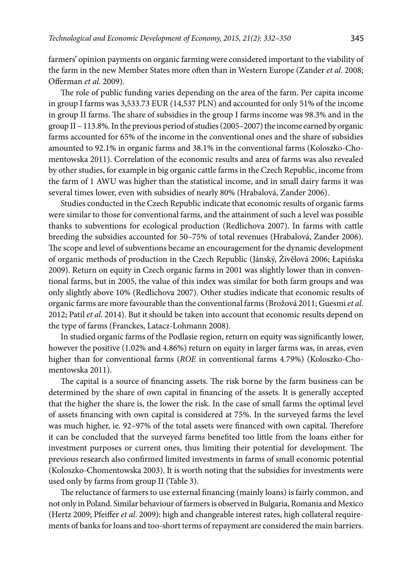farmers' opinion payments on organic farming were considered important to the viability of the farm in the new Member States more often than in Western Europe (Zander *et al*. 2008; Offerman *et al*. 2009).

The role of public funding varies depending on the area of the farm. Per capita income in group I farms was 3,533.73 EUR (14,537 PLN) and accounted for only 51% of the income in group II farms. The share of subsidies in the group I farms income was 98.3% and in the group II – 113.8%. In the previous period of studies (2005–2007) the income earned by organic farms accounted for 65% of the income in the conventional ones and the share of subsidies amounted to 92.1% in organic farms and 38.1% in the conventional farms (Koloszko-Chomentowska 2011). Correlation of the economic results and area of farms was also revealed by other studies, for example in big organic cattle farms in the Czech Republic, income from the farm of 1 AWU was higher than the statistical income, and in small dairy farms it was several times lower, even with subsidies of nearly 80% (Hrabalová, Zander 2006).

Studies conducted in the Czech Republic indicate that economic results of organic farms were similar to those for conventional farms, and the attainment of such a level was possible thanks to subventions for ecological production (Redlichova 2007). In farms with cattle breeding the subsidies accounted for 50–75% of total revenues (Hrabalová, Zander 2006). The scope and level of subventions became an encouragement for the dynamic development of organic methods of production in the Czech Republic (Jánský, Živělová 2006; Łapińska 2009). Return on equity in Czech organic farms in 2001 was slightly lower than in conventional farms, but in 2005, the value of this index was similar for both farm groups and was only slightly above 10% (Redlichova 2007). Other studies indicate that economic results of organic farms are more favourable than the conventional farms (Brožová 2011; Guesmi *et al*. 2012; Patil *et al.* 2014). But it should be taken into account that economic results depend on the type of farms (Franckes, Latacz-Lohmann 2008).

In studied organic farms of the Podlasie region, return on equity was significantly lower, however the positive (1.02% and 4.86%) return on equity in larger farms was, in areas, even higher than for conventional farms (*ROE* in conventional farms 4.79%) (Koloszko-Chomentowska 2011).

The capital is a source of financing assets. The risk borne by the farm business can be determined by the share of own capital in financing of the assets. It is generally accepted that the higher the share is, the lower the risk. In the case of small farms the optimal level of assets financing with own capital is considered at 75%. In the surveyed farms the level was much higher, ie. 92–97% of the total assets were financed with own capital. Therefore it can be concluded that the surveyed farms benefited too little from the loans either for investment purposes or current ones, thus limiting their potential for development. The previous research also confirmed limited investments in farms of small economic potential (Koloszko-Chomentowska 2003). It is worth noting that the subsidies for investments were used only by farms from group II (Table 3).

The reluctance of farmers to use external financing (mainly loans) is fairly common, and not only in Poland. Similar behaviour of farmers is observed in Bulgaria, Romania and Mexico (Hertz 2009; Pfeiffer *et al*. 2009): high and changeable interest rates, high collateral requirements of banks for loans and too-short terms of repayment are considered the main barriers.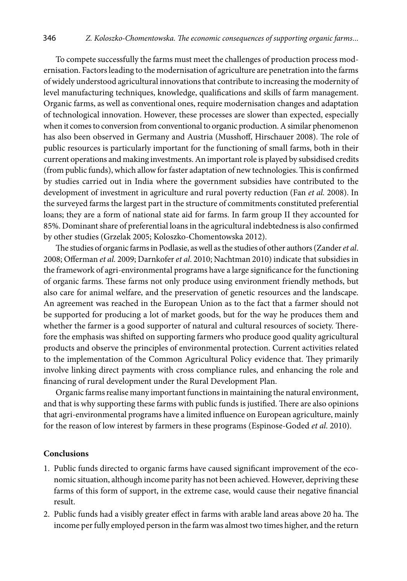To compete successfully the farms must meet the challenges of production process modernisation. Factors leading to the modernisation of agriculture are penetration into the farms of widely understood agricultural innovations that contribute to increasing the modernity of level manufacturing techniques, knowledge, qualifications and skills of farm management. Organic farms, as well as conventional ones, require modernisation changes and adaptation of technological innovation. However, these processes are slower than expected, especially when it comes to conversion from conventional to organic production. A similar phenomenon has also been observed in Germany and Austria (Musshoff, Hirschauer 2008). The role of public resources is particularly important for the functioning of small farms, both in their current operations and making investments. An important role is played by subsidised credits (from public funds), which allow for faster adaptation of new technologies. This is confirmed by studies carried out in India where the government subsidies have contributed to the development of investment in agriculture and rural poverty reduction (Fan *et al.* 2008). In the surveyed farms the largest part in the structure of commitments constituted preferential loans; they are a form of national state aid for farms. In farm group II they accounted for 85%. Dominant share of preferential loans in the agricultural indebtedness is also confirmed by other studies (Grzelak 2005; Koloszko-Chomentowska 2012).

The studies of organic farms in Podlasie, as well as the studies of other authors (Zander *et al*. 2008; Offerman *et al.* 2009; Darnkofer *et al*. 2010; Nachtman 2010) indicate that subsidies in the framework of agri-environmental programs have a large significance for the functioning of organic farms. These farms not only produce using environment friendly methods, but also care for animal welfare, and the preservation of genetic resources and the landscape. An agreement was reached in the European Union as to the fact that a farmer should not be supported for producing a lot of market goods, but for the way he produces them and whether the farmer is a good supporter of natural and cultural resources of society. Therefore the emphasis was shifted on supporting farmers who produce good quality agricultural products and observe the principles of environmental protection. Current activities related to the implementation of the Common Agricultural Policy evidence that. They primarily involve linking direct payments with cross compliance rules, and enhancing the role and financing of rural development under the Rural Development Plan.

Organic farms realise many important functions in maintaining the natural environment, and that is why supporting these farms with public funds is justified. There are also opinions that agri-environmental programs have a limited influence on European agriculture, mainly for the reason of low interest by farmers in these programs (Espinose-Goded *et al*. 2010).

### **Conclusions**

- 1. Public funds directed to organic farms have caused significant improvement of the economic situation, although income parity has not been achieved. However, depriving these farms of this form of support, in the extreme case, would cause their negative financial result.
- 2. Public funds had a visibly greater effect in farms with arable land areas above 20 ha. The income per fully employed person in the farm was almost two times higher, and the return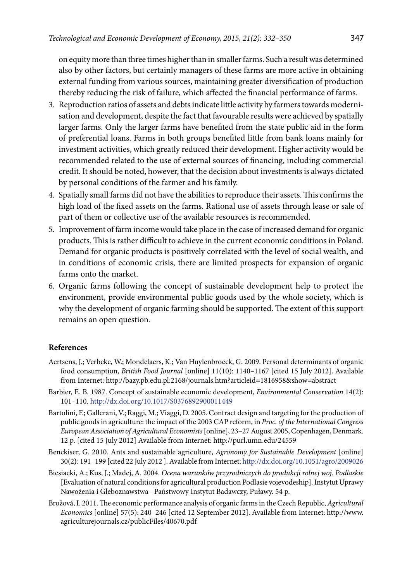on equity more than three times higher than in smaller farms. Such a result was determined also by other factors, but certainly managers of these farms are more active in obtaining external funding from various sources, maintaining greater diversification of production thereby reducing the risk of failure, which affected the financial performance of farms.

- 3. Reproduction ratios of assets and debts indicate little activity by farmers towards modernisation and development, despite the fact that favourable results were achieved by spatially larger farms. Only the larger farms have benefited from the state public aid in the form of preferential loans. Farms in both groups benefited little from bank loans mainly for investment activities, which greatly reduced their development. Higher activity would be recommended related to the use of external sources of financing, including commercial credit. It should be noted, however, that the decision about investments is always dictated by personal conditions of the farmer and his family.
- 4. Spatially small farms did not have the abilities to reproduce their assets. This confirms the high load of the fixed assets on the farms. Rational use of assets through lease or sale of part of them or collective use of the available resources is recommended.
- 5. Improvement of farm income would take place in the case of increased demand for organic products. This is rather difficult to achieve in the current economic conditions in Poland. Demand for organic products is positively correlated with the level of social wealth, and in conditions of economic crisis, there are limited prospects for expansion of organic farms onto the market.
- 6. Organic farms following the concept of sustainable development help to protect the environment, provide environmental public goods used by the whole society, which is why the development of organic farming should be supported. The extent of this support remains an open question.

## **References**

- Aertsens, J.; Verbeke, W.; Mondelaers, K.; Van Huylenbroeck, G. 2009. Personal determinants of organic food consumption, *British Food Journal* [online] 11(10): 1140–1167 [cited 15 July 2012]. Available from Internet: http://bazy.pb.edu.pl:2168/journals.htm?articleid=1816958&show=abstract
- Barbier, E. B. 1987. Concept of sustainable economic development, *Environmental Conservation* 14(2): 101–110. http://dx.doi.org/10.1017/S0376892900011449
- Bartolini, F.; Gallerani, V.; Raggi, M.; Viaggi, D. 2005. Contract design and targeting for the production of public goods in agriculture: the impact of the 2003 CAP reform, in *Proc. of the International Congress European Association of Agricultural Economists* [online], 23–27 August 2005, Copenhagen, Denmark. 12 p. [cited 15 July 2012] Available from Internet: http://purl**.**umn.edu/24559
- Benckiser, G. 2010. Ants and sustainable agriculture, *Agronomy for Sustainable Development* [online] 30(2**)**: 191–199 [cited 22 July 2012 ]. Available from Internet:<http://dx.doi.org/10.1051/agro/2009026>
- Biesiacki, A.; Kus, J.; Madej, A. 2004. *Ocena warunków przyrodniczych do produkcji rolnej woj. Podlaskie* [Evaluation of natural conditions for agricultural production Podlasie voievodeship]. Instytut Uprawy Nawożenia i Gleboznawstwa –Państwowy Instytut Badawczy, Puławy. 54 p.
- Brožová, I. 2011. The economic performance analysis of organic farms in the Czech Republic, *Agricultural Economics* [online] 57(5): 240–246 [cited 12 September 2012]. Available from Internet: http://www. agriculturejournals.cz/publicFiles/40670.pdf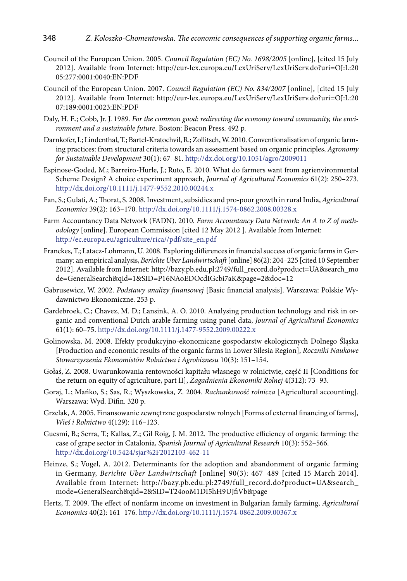- Council of the European Union. 2005. *Council Regulation (EC) No. 1698/2005* [online], [cited 15 July 2012]. Available from Internet: http://eur-lex.europa.eu/LexUriServ/LexUriServ.do?uri=OJ:L:20 05:277:0001:0040:EN:PDF
- Council of the European Union. 2007. *Council Regulation (EC) No. 834/2007* [online], [cited 15 July 2012]. Available from Internet: http://eur-lex.europa.eu/LexUriServ/LexUriServ.do?uri=OJ:L:20 07:189:0001:0023:EN:PDF
- Daly, H. E.; Cobb, Jr. J. 1989. *For the common good: redirecting the economy toward community, the environment and a sustainable future*. Boston: Beacon Press. 492 p.
- Darnkofer, I.; Lindenthal, T.; Bartel-Kratochvil, R.; Zollitsch, W. 2010. Conventionalisation of organic farming practices: from structural criteria towards an assessment based on organic principles, *Agronomy for Sustainable Development* 30(1): 67–81. <http://dx.doi.org/10.1051/agro/2009011>
- Espinose-Goded, M.; Barreiro-Hurle, J.; Ruto, E. 2010. What do farmers want from agrienvironmental Scheme Design? A choice experiment approach*, Journal of Agricultural Economics* 61(2): 250–273. <http://dx.doi.org/10.1111/j.1477-9552.2010.00244.x>
- Fan, S.; Gulati, A.; Thorat, S. 2008. Investment, subsidies and pro-poor growth in rural India, *Agricultural Economics* 39(2): 163–170.<http://dx.doi.org/10.1111/j.1574-0862.2008.00328.x>
- Farm Accountancy Data Network (FADN). 2010*. Farm Accountancy Data Network: An A to Z of methodology* [online]. European Commission [cited 12 May 2012 ]. Available from Internet: [http://ec.europa.eu/agriculture/rica//pdf/site\\_en.pdf](http://ec.europa.eu/agriculture/rica//pdf/site_en.pdf)
- Franckes, T.; Latacz-Lohmann, U. 2008. Exploring differences in financial success of organic farms in Germany: an empirical analysis, *Berichte Uber Landwirtschaft* [online] 86(2): 204–225 [cited 10 September 2012]. Available from Internet: http://bazy.pb.edu.pl:2749/full\_record.do?product=UA&search\_mo de=GeneralSearch&qid=1&SID=P16NAoEDOcdIGcbi7aK&page=2&doc=12
- Gabrusewicz, W. 2002. *Podstawy analizy finansowej* [Basic financial analysis]. Warszawa: Polskie Wydawnictwo Ekonomiczne. 253 p.
- Gardebroek, C.; Chavez, M. D.; Lansink, A. O. 2010. Analysing production technology and risk in organic and conventional Dutch arable farming using panel data, *Journal of Agricultural Economics* 61(1): 60–75. <http://dx.doi.org/10.1111/j.1477-9552.2009.00222.x>
- Golinowska, M. 2008. Efekty produkcyjno-ekonomiczne gospodarstw ekologicznych Dolnego Śląska [Production and economic results of the organic farms in Lower Silesia Region], *Roczniki Naukowe Stowarzyszenia Ekonomistów Rolnictwa i Agrobiznesu* 10(3): 151–154**.**
- Gołaś, Z. 2008. Uwarunkowania rentowności kapitału własnego w rolnictwie, część II [Conditions for the return on equity of agriculture, part II], *Zagadnienia Ekonomiki Rolnej* 4(312): 73–93.
- Goraj, L.; Mańko, S.; Sas, R.; Wyszkowska, Z. 2004. *Rachunkowość rolnicza* [Agricultural accounting]. Warszawa: Wyd. Difin. 320 p.
- Grzelak, A. 2005. Finansowanie zewnętrzne gospodarstw rolnych [Forms of external financing of farms], *Wieś i Rolnictwo* 4(129): 116–123.
- Guesmi, B.; Serra, T.; Kallas, Z.; Gil Roig, J. M. 2012. The productive efficiency of organic farming: the case of grape sector in Catalonia, *Spanish Journal of Agricultural Research* 10(3): 552–566. <http://dx.doi.org/10.5424/sjar%2F2012103-462-11>
- Heinze, S.; Vogel, A. 2012. Determinants for the adoption and abandonment of organic farming in Germany, *Berichte Uber Landwirtschaft* [online] 90(3): 467–489 [cited 15 March 2014]. Available from Internet: http://bazy.pb.edu.pl:2749/full\_record.do?product=UA&search\_ mode=GeneralSearch&qid=2&SID=T24ooM1DI5hH9UJfiVb&page
- Hertz, T. 2009. The effect of nonfarm income on investment in Bulgarian family farming, *Agricultural Economics* 40(2): 161–176.<http://dx.doi.org/10.1111/j.1574-0862.2009.00367.x>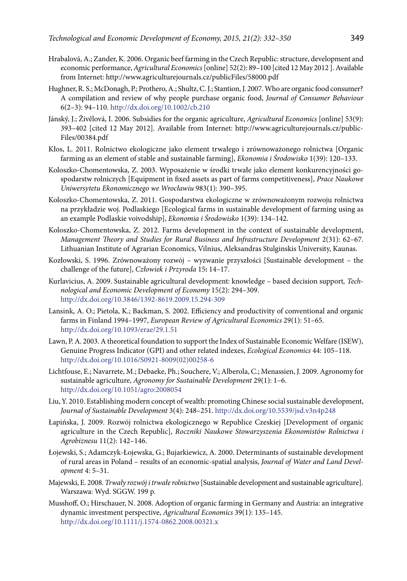- Hrabalová, A.; Zander, K. 2006. Organic beef farming in the Czech Republic: structure, development and economic performance, *Agricultural Economics* [online] 52(2): 89–100 [cited 12 May 2012 ]. Available from Internet: http://www.agriculturejournals.cz/publicFiles/58000.pdf
- Hughner, R. S.; McDonagh, P.; Prothero, A.; Shultz, C. J.; Stantion, J. 2007. Who are organic food consumer? A compilation and review of why people purchase organic food, *Journal of Consumer Behaviour* 6(2–3): 94–110.<http://dx.doi.org/10.1002/cb.210>
- Jánský, J.; Živělová, I. 2006. Subsidies for the organic agriculture, *Agricultural Economics* [online] 53(9): 393–402 [cited 12 May 2012]. Available from Internet: http://www.agriculturejournals.cz/public-Files/00384.pdf
- Kłos, L. 2011. Rolnictwo ekologiczne jako element trwałego i zrównoważonego rolnictwa [Organic farming as an element of stable and sustainable farming], *Ekonomia i Środowisko* 1(39): 120–133.
- Koloszko-Chomentowska, Z. 2003. Wyposażenie w środki trwałe jako element konkurencyjności gospodarstw rolniczych [Equipment in fixed assets as part of farms competitiveness], *Prace Naukowe Uniwersytetu Ekonomicznego we Wrocławiu* 983(1): 390–395.
- Koloszko-Chomentowska, Z. 2011. Gospodarstwa ekologiczne w zrównoważonym rozwoju rolnictwa na przykładzie woj. Podlaskiego [Ecological farms in sustainable development of farming using as an example Podlaskie voivodship], *Ekonomia i Środowisko* 1(39): 134–142.
- Koloszko-Chomentowska, Z. 2012. Farms development in the context of sustainable development, *Management Theory and Studies for Rural Business and Infrastructure Development* 2(31): 62–67. Lithuanian Institute of Agrarian Economics, Vilnius, Aleksandras Stulginskis University, Kaunas.
- Kozłowski, S. 1996. Zrównoważony rozwój wyzwanie przyszłości [Sustainable development the challenge of the future], *Człowiek i Przyroda* 15**:** 14–17.
- Kurlavicius, A. 2009. Sustainable agricultural development: knowledge based decision support*, Technological and Economic Development of Economy* 15(2): 294–309. <http://dx.doi.org/10.3846/1392-8619.2009.15.294-309>
- Lansink, A. O.; Pietola, K.; Backman, S. 2002. Efficiency and productivity of conventional and organic farms in Finland 1994–1997, *European Review of Agricultural Economics* 29(1): 51–65. <http://dx.doi.org/10.1093/erae/29.1.51>
- Lawn, P. A. 2003. A theoretical foundation to support the Index of Sustainable Economic Welfare (ISEW), Genuine Progress Indicator (GPI) and other related indexes, *Ecological Economics* 44: 105–118. [http://dx.doi.org/10.1016/S0921-8009\(02\)00258-6](http://dx.doi.org/10.1016/S0921-8009(02)00258-6)
- Lichtfouse, E.; Navarrete, M.; Debaeke, Ph.; Souchere, V.; Alberola, C.; Menassien, J. 2009. Agronomy for sustainable agriculture, *Agronomy for Sustainable Development* 29(1): 1–6. <http://dx.doi.org/10.1051/agro:2008054>
- Liu, Y. 2010. Establishing modern concept of wealth: promoting Chinese social sustainable development, *Journal of Sustainable Development* 3(4): 248–251. <http://dx.doi.org/10.5539/jsd.v3n4p248>
- Łapińska, J. 2009. Rozwój rolnictwa ekologicznego w Republice Czeskiej [Development of organic agriculture in the Czech Republic], *Roczniki Naukowe Stowarzyszenia Ekonomistów Rolnictwa i Agrobiznesu* 11(2): 142–146.
- Łojewski, S.; Adamczyk-Łojewska, G.; Bujarkiewicz, A. 2000. Determinants of sustainable development of rural areas in Poland – results of an economic-spatial analysis, *Journal of Water and Land Development* 4: 5–31.
- Majewski, E. 2008. *Trwały rozwój i trwałe rolnictwo* [Sustainable development and sustainable agriculture]. Warszawa: Wyd. SGGW. 199 p.
- Musshoff, O.; Hirschauer, N. 2008. Adoption of organic farming in Germany and Austria: an integrative dynamic investment perspective, *Agricultural Economics* 39(1): 135–145. <http://dx.doi.org/10.1111/j.1574-0862.2008.00321.x>